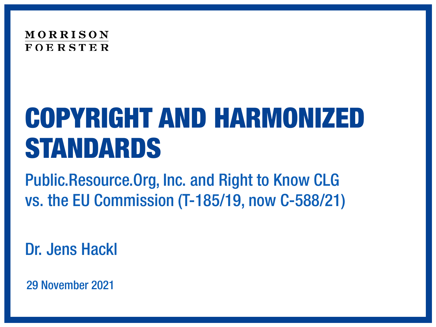

# COPYRIGHT AND HARMONIZED STANDARDS

Public.Resource.Org, Inc. and Right to Know CLG vs. the EU Commission (T-185/19, now C-588/21)

Dr. Jens Hackl

29 November 2021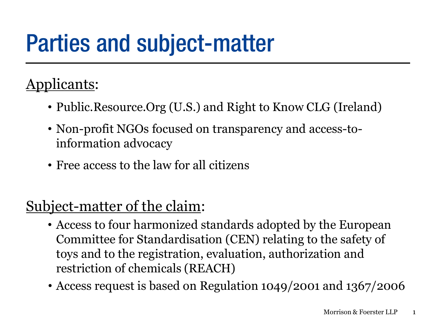# Parties and subject-matter

#### Applicants:

- Public.Resource.Org (U.S.) and Right to Know CLG (Ireland)
- Non-profit NGOs focused on transparency and access-toinformation advocacy
- Free access to the law for all citizens

#### Subject-matter of the claim:

- Access to four harmonized standards adopted by the European Committee for Standardisation (CEN) relating to the safety of toys and to the registration, evaluation, authorization and restriction of chemicals (REACH)
- Access request is based on Regulation 1049/2001 and 1367/2006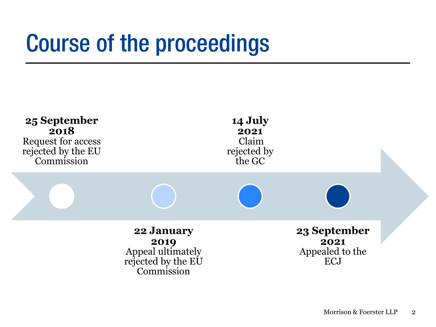# Course of the proceedings

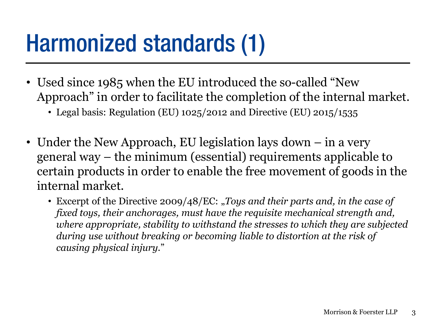### Harmonized standards (1)

- Used since 1985 when the EU introduced the so-called "New Approach" in order to facilitate the completion of the internal market.
	- Legal basis: Regulation (EU) 1025/2012 and Directive (EU) 2015/1535
- Under the New Approach, EU legislation lays down in a very general way – the minimum (essential) requirements applicable to certain products in order to enable the free movement of goods in the internal market.
	- Excerpt of the Directive 2009/48/EC: "*Toys and their parts and, in the case of fixed toys, their anchorages, must have the requisite mechanical strength and, where appropriate, stability to withstand the stresses to which they are subjected during use without breaking or becoming liable to distortion at the risk of causing physical injury.*"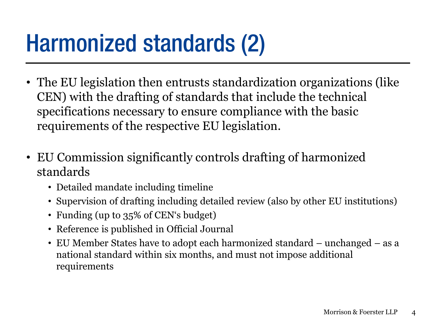## Harmonized standards (2)

- The EU legislation then entrusts standardization organizations (like CEN) with the drafting of standards that include the technical specifications necessary to ensure compliance with the basic requirements of the respective EU legislation.
- EU Commission significantly controls drafting of harmonized standards
	- Detailed mandate including timeline
	- Supervision of drafting including detailed review (also by other EU institutions)
	- Funding (up to 35% of CEN's budget)
	- Reference is published in Official Journal
	- EU Member States have to adopt each harmonized standard unchanged as a national standard within six months, and must not impose additional requirements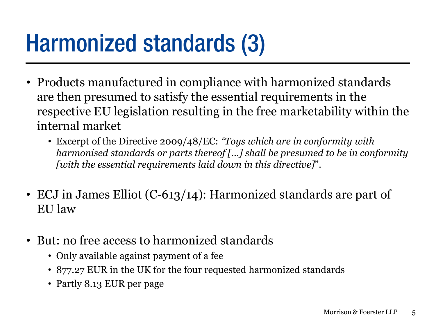## Harmonized standards (3)

- Products manufactured in compliance with harmonized standards are then presumed to satisfy the essential requirements in the respective EU legislation resulting in the free marketability within the internal market
	- Excerpt of the Directive 2009/48/EC: *"Toys which are in conformity with harmonised standards or parts thereof […] shall be presumed to be in conformity [with the essential requirements laid down in this directive]*".
- ECJ in James Elliot (C-613/14): Harmonized standards are part of EU law
- But: no free access to harmonized standards
	- Only available against payment of a fee
	- 877.27 EUR in the UK for the four requested harmonized standards
	- Partly 8.13 EUR per page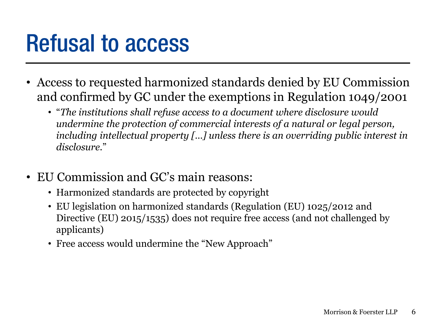## Refusal to access

- Access to requested harmonized standards denied by EU Commission and confirmed by GC under the exemptions in Regulation 1049/2001
	- "*The institutions shall refuse access to a document where disclosure would undermine the protection of commercial interests of a natural or legal person, including intellectual property […] unless there is an overriding public interest in disclosure.*"
- EU Commission and GC's main reasons:
	- Harmonized standards are protected by copyright
	- EU legislation on harmonized standards (Regulation (EU) 1025/2012 and Directive (EU) 2015/1535) does not require free access (and not challenged by applicants)
	- Free access would undermine the "New Approach"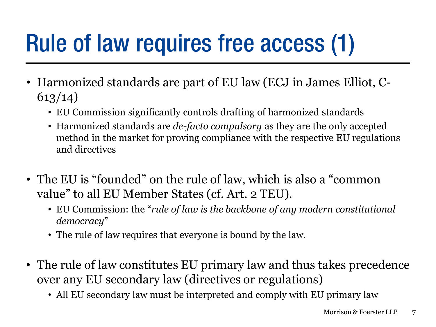# Rule of law requires free access (1)

- Harmonized standards are part of EU law (ECJ in James Elliot, C-613/14)
	- EU Commission significantly controls drafting of harmonized standards
	- Harmonized standards are *de-facto compulsory* as they are the only accepted method in the market for proving compliance with the respective EU regulations and directives
- The EU is "founded" on the rule of law, which is also a "common value" to all EU Member States (cf. Art. 2 TEU).
	- EU Commission: the "*rule of law is the backbone of any modern constitutional democracy*"
	- The rule of law requires that everyone is bound by the law.
- The rule of law constitutes EU primary law and thus takes precedence over any EU secondary law (directives or regulations)
	- All EU secondary law must be interpreted and comply with EU primary law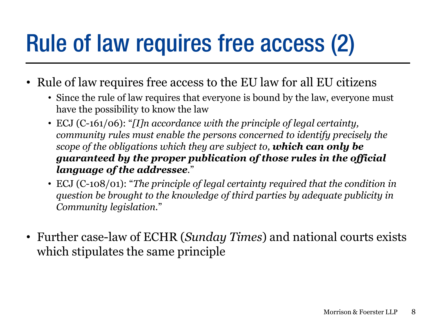# Rule of law requires free access (2)

- Rule of law requires free access to the EU law for all EU citizens
	- Since the rule of law requires that everyone is bound by the law, everyone must have the possibility to know the law
	- ECJ (C-161/06): "*[I]n accordance with the principle of legal certainty, community rules must enable the persons concerned to identify precisely the scope of the obligations which they are subject to, which can only be guaranteed by the proper publication of those rules in the official language of the addressee.*"
	- ECJ (C-108/01): "*The principle of legal certainty required that the condition in question be brought to the knowledge of third parties by adequate publicity in Community legislation.*"
- Further case-law of ECHR (*Sunday Times*) and national courts exists which stipulates the same principle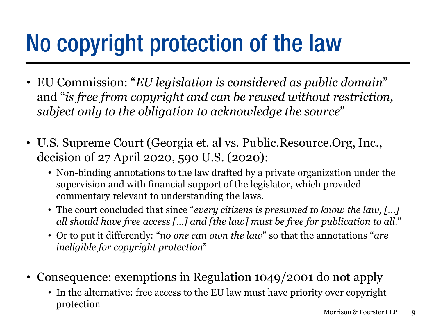# No copyright protection of the law

- EU Commission: "*EU legislation is considered as public domain*" and "*is free from copyright and can be reused without restriction, subject only to the obligation to acknowledge the source*"
- U.S. Supreme Court (Georgia et. al vs. Public.Resource.Org, Inc., decision of 27 April 2020, 590 U.S. (2020):
	- Non-binding annotations to the law drafted by a private organization under the supervision and with financial support of the legislator, which provided commentary relevant to understanding the laws.
	- The court concluded that since "*every citizens is presumed to know the law, […] all should have free access […] and [the law] must be free for publication to all.*"
	- Or to put it differently: "*no one can own the law*" so that the annotations "*are ineligible for copyright protection*"
- Consequence: exemptions in Regulation 1049/2001 do not apply
	- In the alternative: free access to the EU law must have priority over copyright protection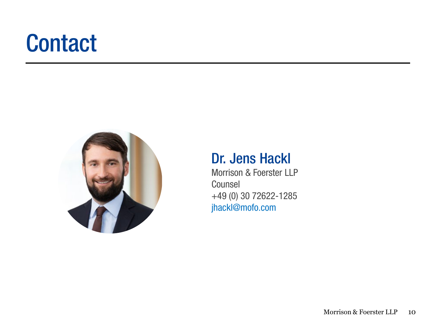## **Contact**



#### Dr. Jens Hackl

Morrison & Foerster LLP Counsel +49 (0) 30 72622-1285 jhackl@mofo.com